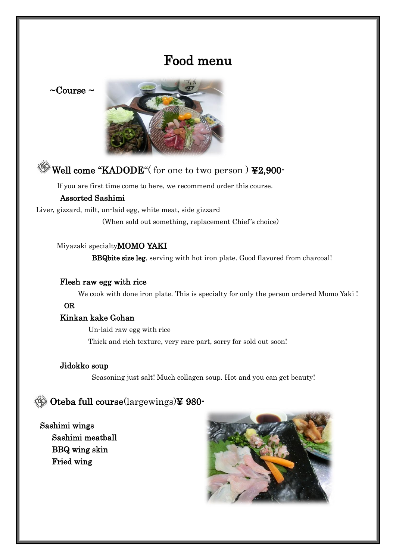## Food menu

 $\sim$ Course  $\sim$ 



## Well come "KADODE" (for one to two person ) ¥2,900-

If you are first time come to here, we recommend order this course.

#### Assorted Sashimi

Liver, gizzard, milt, un-laid egg, white meat, side gizzard

(When sold out something, replacement Chief's choice)

#### Miyazaki specialtyMOMO YAKI

BBQbite size leg, serving with hot iron plate. Good flavored from charcoal!

#### Flesh raw egg with rice

We cook with done iron plate. This is specialty for only the person ordered Momo Yaki !

#### OR

#### Kinkan kake Gohan

Un-laid raw egg with rice Thick and rich texture, very rare part, sorry for sold out soon!

#### Jidokko soup

Seasoning just salt! Much collagen soup. Hot and you can get beauty!

### Oteba full course(largewings)¥ 980-

### Sashimi wings Sashimi meatball BBQ wing skin Fried wing

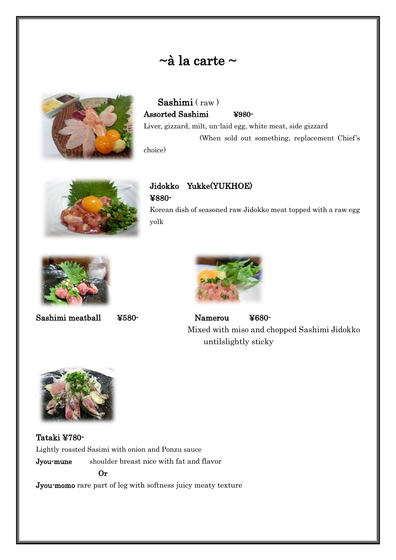## $\sim$ à la carte  $\sim$



Sashimi ( raw ) Assorted Sashimi ¥980- Liver, gizzard, milt, un-laid egg, white meat, side gizzard (When sold out something, replacement Chief's

choice)



### Jidokko Yukke(YUKHOE) ¥880-

Korean dish of seasoned raw Jidokko meat topped with a raw egg yolk





Sashimi meatball ¥580- Namerou ¥680- Mixed with miso and chopped Sashimi Jidokko untilslightly sticky



Tataki ¥780- Lightly roasted Sasimi with onion and Ponzu sauce Jyou-mune shoulder breast nice with fat and flavor Or Jyou-momo rare part of leg with softness juicy meaty texture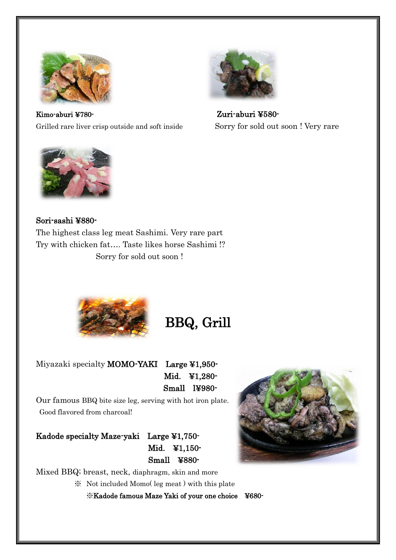

Kimo-aburi ¥780- Zuri-aburi ¥580- Grilled rare liver crisp outside and soft inside Sorry for sold out soon ! Very rare





Sori-sashi ¥880- The highest class leg meat Sashimi. Very rare part Try with chicken fat…. Taste likes horse Sashimi !?

Sorry for sold out soon !



## BBQ, Grill

Miyazaki specialty MOMO-YAKI Large ¥1,950- Mid. ¥1,280- Small l¥980-

Our famous BBQ bite size leg, serving with hot iron plate. Good flavored from charcoal!

Kadode specialty Maze-yaki Large ¥1,750- Mid. ¥1,150- Small ¥880-

Mixed BBQ; breast, neck, diaphragm, skin and more

※ Not included Momo( leg meat ) with this plate ※Kadode famous Maze Yaki of your one choice ¥680-

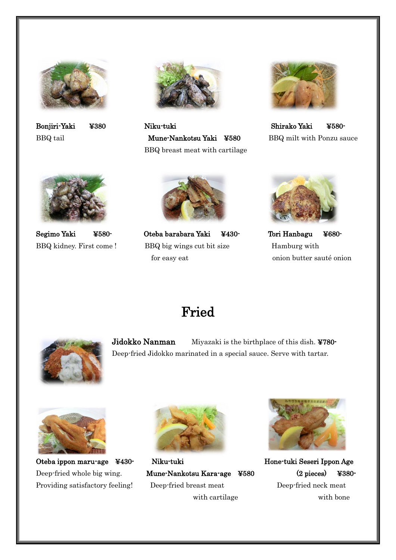



Bonjiri-Yaki ¥380 Niku-tuki Shirako Yaki ¥580- BBQ tail **Mune-Nankotsu Yaki ¥580** BBQ milt with Ponzu sauce BBQ breast meat with cartilage







Segimo Yaki ¥580- Oteba barabara Yaki ¥430- Tori Hanbagu ¥680- BBQ kidney. First come ! BBQ big wings cut bit size Hamburg with for easy eat onion butter sauté onion



## Fried



Jidokko Nanman Miyazaki is the birthplace of this dish. ¥780-Deep-fried Jidokko marinated in a special sauce. Serve with tartar.





Oteba ippon maru-age ¥430- Niku-tuki Hone-tuki Hone-tuki Seseri Ippon Age Deep-fried whole big wing. Mune-Nankotsu Kara-age ¥580 (2 pieces) ¥380- Providing satisfactory feeling! Deep-fried breast meat Deep-fried neck meat



with cartilage with bone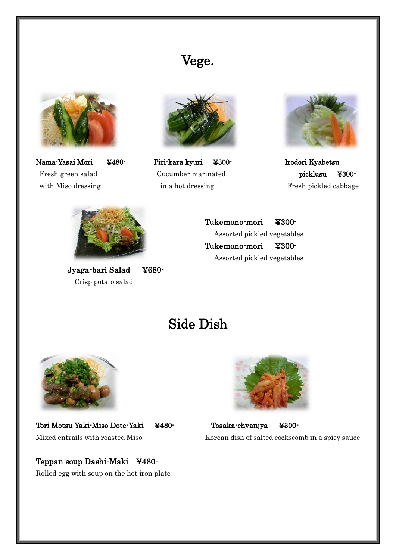## Vege.



with Miso dressing in a hot dressing Fresh pickled cabbage



Nama-Yasai Mori ¥480- Piri-kara kyuri ¥300- Irodori Kyabetsu Fresh green salad Cucumber marinated picklusu ¥300-





Jyaga-bari Salad ¥680- Crisp potato salad

Tukemono-mori ¥300- Assorted pickled vegetables Tukemono-mori ¥300- Assorted pickled vegetables

## Side Dish



Tori Motsu Yaki-Miso Dote-Yaki ¥480- Tosaka-chyanjya ¥300-

Teppan soup Dashi-Maki ¥480- Rolled egg with soup on the hot iron plate



Mixed entrails with roasted Miso Korean dish of salted cockscomb in a spicy sauce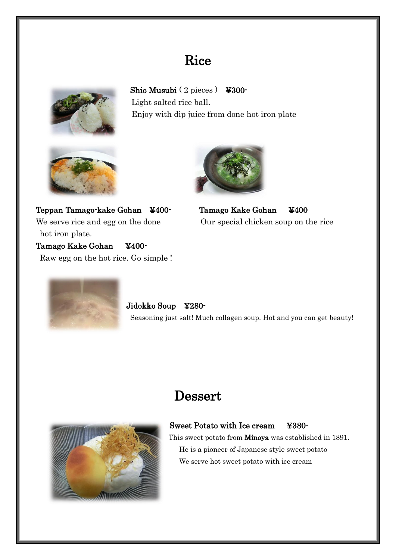## **Rice**



Shio Musubi (2 pieces) ¥300-Light salted rice ball. Enjoy with dip juice from done hot iron plate





Teppan Tamago-kake Gohan ¥400- Tamago Kake Gohan ¥400 We serve rice and egg on the done Our special chicken soup on the rice hot iron plate. Tamago Kake Gohan ¥400- Raw egg on the hot rice. Go simple !



Jidokko Soup ¥280- Seasoning just salt! Much collagen soup. Hot and you can get beauty!

## **Dessert**



### Sweet Potato with Ice cream ¥380-

This sweet potato from Minoya was established in 1891. He is a pioneer of Japanese style sweet potato We serve hot sweet potato with ice cream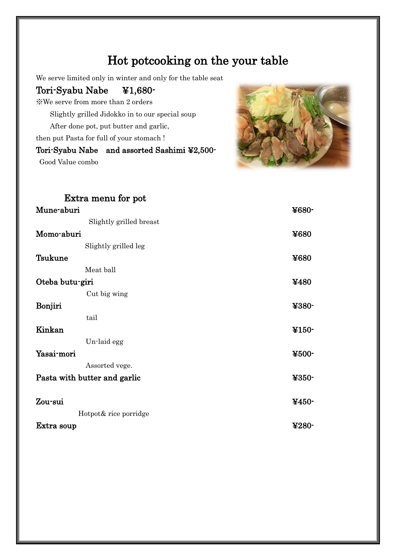## Hot potcooking on the your table

We serve limited only in winter and only for the table seat

### Tori-Syabu Nabe ¥1,680-

※We serve from more than 2 orders

Slightly grilled Jidokko in to our special soup

After done pot, put butter and garlic,

then put Pasta for full of your stomach !

## Tori-Syabu Nabe and assorted Sashimi ¥2,500-

Good Value combo



| Extra menu for pot           |                                                         |
|------------------------------|---------------------------------------------------------|
| Mune-aburi                   | ¥680-                                                   |
| Slightly grilled breast      |                                                         |
| Momo-aburi                   | ¥680                                                    |
| Slightly grilled leg         |                                                         |
| <b>Tsukune</b>               | ¥680                                                    |
| Meat ball                    |                                                         |
| Oteba butu-giri              | ¥480                                                    |
| Cut big wing                 |                                                         |
| Bonjiri                      | ¥380-                                                   |
| tail                         |                                                         |
| Kinkan                       | $\textcolor{blue}{\boldsymbol{\ddot{\textbf{Y}}}}$ 150- |
| Un-laid egg                  |                                                         |
| Yasai-mori                   | ¥500-                                                   |
| Assorted vege.               |                                                         |
| Pasta with butter and garlic | ¥350-                                                   |
| Zou-sui                      | $4450 -$                                                |
| Hotpot& rice porridge        |                                                         |
| Extra soup                   | $4280 -$                                                |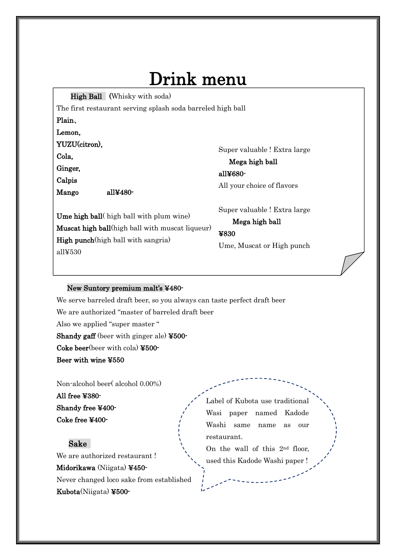# Drink menu

High Ball (Whisky with soda)

The first restaurant serving splash soda barreled high ball

Plain、

Lemon,

YUZU(citron),

Cola,

Ginger,

j

Calpis

Super valuable ! Extra large

Mega high ball all¥680- All your choice of flavors

Mango all¥480-

Super valuable ! Extra large Mega high ball

Ume high ball( high ball with plum wine) Muscat high ball(high ball with muscat liqueur) High punch(high ball with sangria) all¥530

¥830 Ume, Muscat or High punch

#### New Suntory premium malt's ¥480-

We serve barreled draft beer, so you always can taste perfect draft beer We are authorized "master of barreled draft beer Also we applied "super master " Shandy gaff (beer with ginger ale) ¥500- Coke beer(beer with cola) ¥500- Beer with wine ¥550

Non-alcohol beer( alcohol 0.00%)

All free ¥380- Shandy free ¥400- Coke free ¥400-

#### Sake

We are authorized restaurant ! Midorikawa (Niigata) ¥450-

Never changed loco sake from established Kubota(Niigata) ¥500Label of Kubota use traditional Wasi paper named Kadode Washi same name as our restaurant.

On the wall of this 2nd floor, used this Kadode Washi paper !

\*These 2 brewer offer limited items would be sold out soon,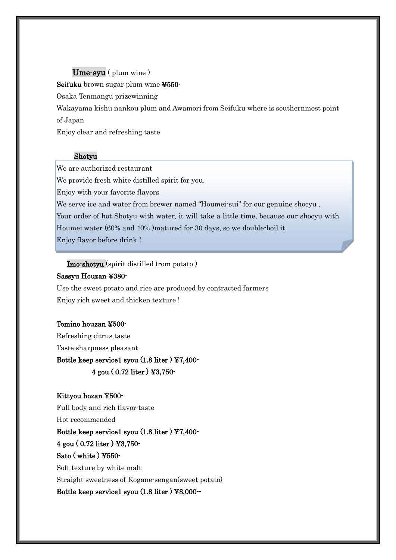#### Ume-syu ( plum wine )

Seifuku brown sugar plum wine ¥550-

Osaka Tenmangu prizewinning

Wakayama kishu nankou plum and Awamori from Seifuku where is southernmost point of Japan

Enjoy clear and refreshing taste

#### Shotyu

We are authorized restaurant

We provide fresh white distilled spirit for you.

Enjoy with your favorite flavors

We serve ice and water from brewer named "Houmei-sui" for our genuine shocyu .

Your order of hot Shotyu with water, it will take a little time, because our shocyu with Houmei water (60% and 40% )matured for 30 days, so we double-boil it.

Enjoy flavor before drink !

Imo-shotyu (spirit distilled from potato )

#### Sassyu Houzan ¥380-

Use the sweet potato and rice are produced by contracted farmers Enjoy rich sweet and thicken texture !

#### Tomino houzan ¥500-

Refreshing citrus taste Taste sharpness pleasant Bottle keep service1 syou (1.8 liter ) ¥7,400- 4 gou ( 0.72 liter ) ¥3,750-

#### Kittyou hozan ¥500-

Full body and rich flavor taste

Hot recommended

#### Bottle keep service1 syou (1.8 liter ) ¥7,400-

4 gou ( 0.72 liter ) ¥3,750-

#### Sato ( white ) ¥550-

Soft texture by white malt

Straight sweetness of Kogane-sengan(sweet potato)

Bottle keep service1 syou (1.8 liter ) ¥8,000--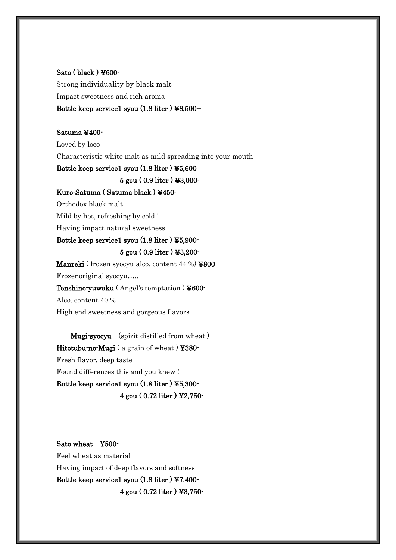### Sato ( black ) ¥600- Strong individuality by black malt Impact sweetness and rich aroma Bottle keep service1 syou (1.8 liter ) ¥8,500--

#### Satuma ¥400-

Loved by loco Characteristic white malt as mild spreading into your mouth

#### Bottle keep service1 syou (1.8 liter ) ¥5,600-

5 gou ( 0.9 liter ) ¥3,000-

#### Kuro-Satuma ( Satuma black ) ¥450-

Orthodox black malt

Mild by hot, refreshing by cold !

Having impact natural sweetness

#### Bottle keep service1 syou (1.8 liter ) ¥5,900-

#### 5 gou ( 0.9 liter ) ¥3,200-

Manreki ( frozen syocyu alco. content 44 %) ¥800 Frozenoriginal syocyu….. Tenshino-yuwaku ( Angel's temptation ) ¥600- Alco. content 40 % High end sweetness and gorgeous flavors

Mugi-syocyu (spirit distilled from wheat ) Hitotubu-no-Mugi ( a grain of wheat ) ¥380- Fresh flavor, deep taste Found differences this and you knew ! Bottle keep service1 syou (1.8 liter ) ¥5,300- 4 gou ( 0.72 liter ) ¥2,750-

Sato wheat ¥500- Feel wheat as material Having impact of deep flavors and softness Bottle keep service1 syou (1.8 liter ) ¥7,400- 4 gou ( 0.72 liter ) ¥3,750-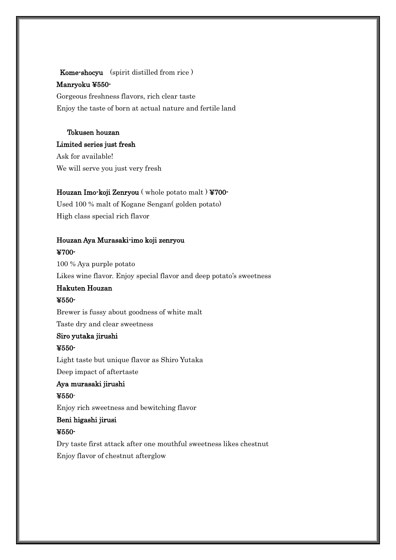Kome-shocyu (spirit distilled from rice ) Manryoku ¥550- Gorgeous freshness flavors, rich clear taste

Enjoy the taste of born at actual nature and fertile land

#### Tokusen houzan Limited series just fresh

Ask for available! We will serve you just very fresh

#### Houzan Imo-koji Zenryou ( whole potato malt ) ¥700-

Used 100 % malt of Kogane Sengan( golden potato) High class special rich flavor

#### Houzan Aya Murasaki-imo koji zenryou ¥700-

100 % Aya purple potato Likes wine flavor. Enjoy special flavor and deep potato's sweetness Hakuten Houzan ¥550- Brewer is fussy about goodness of white malt Taste dry and clear sweetness Siro yutaka jirushi ¥550- Light taste but unique flavor as Shiro Yutaka

Deep impact of aftertaste

### Aya murasaki jirushi

#### ¥550-

Enjoy rich sweetness and bewitching flavor

### Beni higashi jirusi

#### ¥550-

Dry taste first attack after one mouthful sweetness likes chestnut Enjoy flavor of chestnut afterglow